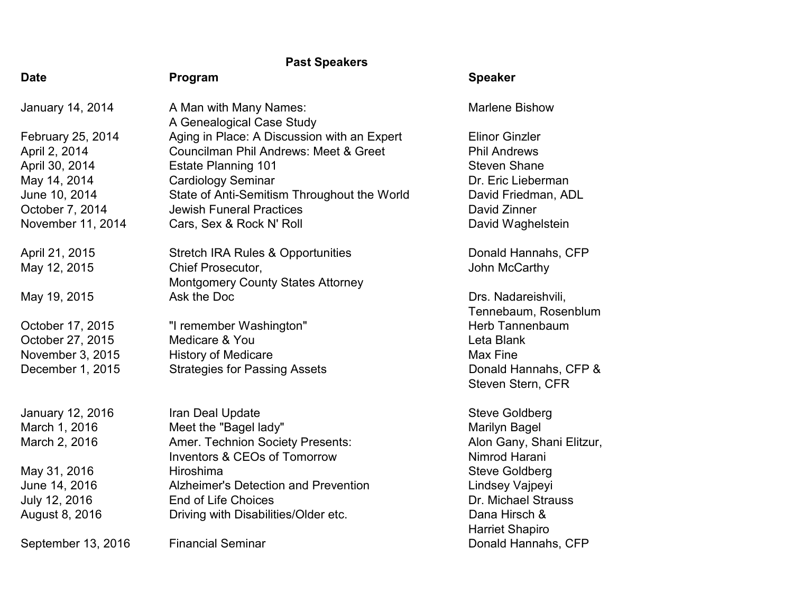## Past Speakers

| <b>Date</b>             | Program                                             | <b>Speaker</b>            |
|-------------------------|-----------------------------------------------------|---------------------------|
| <b>January 14, 2014</b> | A Man with Many Names:<br>A Genealogical Case Study | <b>Marlene Bishow</b>     |
| February 25, 2014       | Aging in Place: A Discussion with an Expert         | <b>Elinor Ginzler</b>     |
| April 2, 2014           | <b>Councilman Phil Andrews: Meet &amp; Greet</b>    | <b>Phil Andrews</b>       |
| April 30, 2014          | <b>Estate Planning 101</b>                          | <b>Steven Shane</b>       |
| May 14, 2014            | <b>Cardiology Seminar</b>                           | Dr. Eric Lieberman        |
| June 10, 2014           | State of Anti-Semitism Throughout the World         | David Friedman, ADL       |
| October 7, 2014         | <b>Jewish Funeral Practices</b>                     | David Zinner              |
| November 11, 2014       | Cars, Sex & Rock N' Roll                            | David Waghelstein         |
| April 21, 2015          | <b>Stretch IRA Rules &amp; Opportunities</b>        | Donald Hannahs, CFP       |
| May 12, 2015            | Chief Prosecutor,                                   | John McCarthy             |
|                         | <b>Montgomery County States Attorney</b>            |                           |
| May 19, 2015            | Ask the Doc                                         | Drs. Nadareishvili,       |
|                         |                                                     | Tennebaum, Rosenblum      |
| October 17, 2015        | "I remember Washington"                             | <b>Herb Tannenbaum</b>    |
| October 27, 2015        | Medicare & You                                      | Leta Blank                |
| November 3, 2015        | <b>History of Medicare</b>                          | <b>Max Fine</b>           |
| December 1, 2015        | <b>Strategies for Passing Assets</b>                | Donald Hannahs, CFP &     |
|                         |                                                     | Steven Stern, CFR         |
| January 12, 2016        | Iran Deal Update                                    | <b>Steve Goldberg</b>     |
| March 1, 2016           | Meet the "Bagel lady"                               | <b>Marilyn Bagel</b>      |
| March 2, 2016           | <b>Amer. Technion Society Presents:</b>             | Alon Gany, Shani Elitzur, |
|                         | <b>Inventors &amp; CEOs of Tomorrow</b>             | Nimrod Harani             |
| May 31, 2016            | Hiroshima                                           | <b>Steve Goldberg</b>     |
| June 14, 2016           | <b>Alzheimer's Detection and Prevention</b>         | Lindsey Vajpeyi           |
| July 12, 2016           | <b>End of Life Choices</b>                          | Dr. Michael Strauss       |
| August 8, 2016          | Driving with Disabilities/Older etc.                | Dana Hirsch &             |
|                         |                                                     | <b>Harriet Shapiro</b>    |
| September 13, 2016      | <b>Financial Seminar</b>                            | Donald Hannahs, CFP       |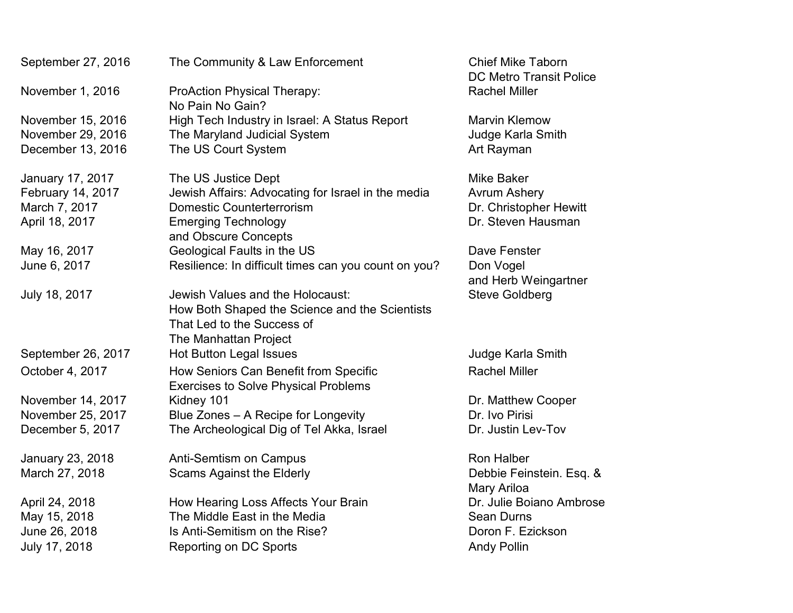| September 27, 2016 | The Community & Law Enforcement                                                      | <b>Chief Mike Taborn</b><br><b>DC Metro Transit Police</b> |
|--------------------|--------------------------------------------------------------------------------------|------------------------------------------------------------|
| November 1, 2016   | <b>ProAction Physical Therapy:</b><br>No Pain No Gain?                               | <b>Rachel Miller</b>                                       |
| November 15, 2016  | High Tech Industry in Israel: A Status Report                                        | <b>Marvin Klemow</b>                                       |
| November 29, 2016  | The Maryland Judicial System                                                         | Judge Karla Smith                                          |
| December 13, 2016  | The US Court System                                                                  | Art Rayman                                                 |
| January 17, 2017   | The US Justice Dept                                                                  | <b>Mike Baker</b>                                          |
| February 14, 2017  | Jewish Affairs: Advocating for Israel in the media                                   | <b>Avrum Ashery</b>                                        |
| March 7, 2017      | <b>Domestic Counterterrorism</b>                                                     | Dr. Christopher Hewitt                                     |
| April 18, 2017     | <b>Emerging Technology</b>                                                           | Dr. Steven Hausman                                         |
|                    | and Obscure Concepts                                                                 |                                                            |
| May 16, 2017       | Geological Faults in the US                                                          | Dave Fenster                                               |
| June 6, 2017       | Resilience: In difficult times can you count on you?                                 | Don Vogel                                                  |
|                    |                                                                                      | and Herb Weingartner                                       |
| July 18, 2017      | Jewish Values and the Holocaust:                                                     | <b>Steve Goldberg</b>                                      |
|                    | How Both Shaped the Science and the Scientists                                       |                                                            |
|                    | That Led to the Success of                                                           |                                                            |
|                    | The Manhattan Project                                                                |                                                            |
| September 26, 2017 | <b>Hot Button Legal Issues</b>                                                       | Judge Karla Smith                                          |
| October 4, 2017    | How Seniors Can Benefit from Specific<br><b>Exercises to Solve Physical Problems</b> | <b>Rachel Miller</b>                                       |
| November 14, 2017  | Kidney 101                                                                           | Dr. Matthew Cooper                                         |
| November 25, 2017  | Blue Zones - A Recipe for Longevity                                                  | Dr. Ivo Pirisi                                             |
| December 5, 2017   | The Archeological Dig of Tel Akka, Israel                                            | Dr. Justin Lev-Tov                                         |
| January 23, 2018   | <b>Anti-Semtism on Campus</b>                                                        | <b>Ron Halber</b>                                          |
| March 27, 2018     | <b>Scams Against the Elderly</b>                                                     | Debbie Feinstein. Esq. &<br>Mary Ariloa                    |
| April 24, 2018     | How Hearing Loss Affects Your Brain                                                  | Dr. Julie Boiano Ambrose                                   |
| May 15, 2018       | The Middle East in the Media                                                         | <b>Sean Durns</b>                                          |
| June 26, 2018      | Is Anti-Semitism on the Rise?                                                        | Doron F. Ezickson                                          |
| July 17, 2018      | <b>Reporting on DC Sports</b>                                                        | <b>Andy Pollin</b>                                         |
|                    |                                                                                      |                                                            |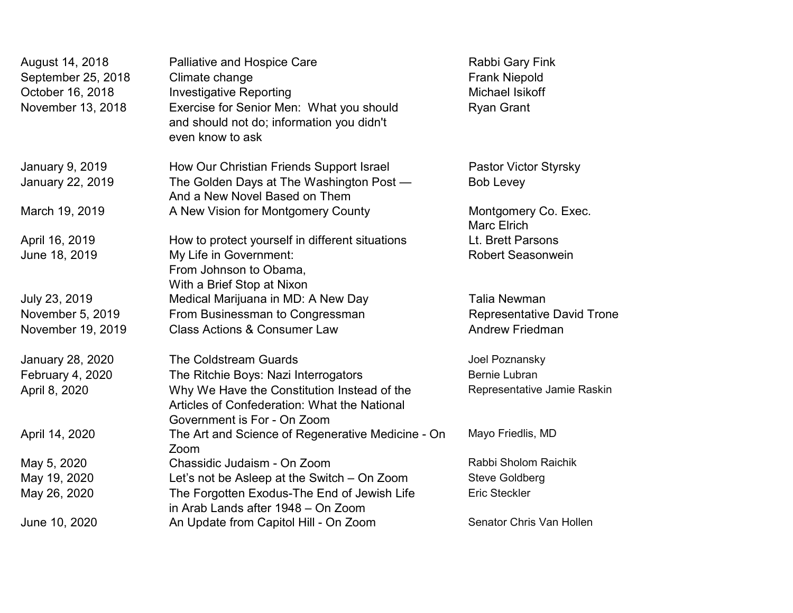| August 14, 2018<br>September 25, 2018<br>October 16, 2018<br>November 13, 2018 | <b>Palliative and Hospice Care</b><br>Climate change<br><b>Investigative Reporting</b><br>Exercise for Senior Men: What you should<br>and should not do; information you didn't<br>even know to ask | Rabbi Gary Fink<br><b>Frank Niepold</b><br>Michael Isikoff<br><b>Ryan Grant</b> |
|--------------------------------------------------------------------------------|-----------------------------------------------------------------------------------------------------------------------------------------------------------------------------------------------------|---------------------------------------------------------------------------------|
| January 9, 2019                                                                | How Our Christian Friends Support Israel                                                                                                                                                            | Pastor Victor Styrsky                                                           |
| <b>January 22, 2019</b>                                                        | The Golden Days at The Washington Post -<br>And a New Novel Based on Them                                                                                                                           | <b>Bob Levey</b>                                                                |
| March 19, 2019                                                                 | A New Vision for Montgomery County                                                                                                                                                                  | Montgomery Co. Exec.<br><b>Marc Elrich</b>                                      |
| April 16, 2019                                                                 | How to protect yourself in different situations                                                                                                                                                     | Lt. Brett Parsons                                                               |
| June 18, 2019                                                                  | My Life in Government:<br>From Johnson to Obama,<br>With a Brief Stop at Nixon                                                                                                                      | <b>Robert Seasonwein</b>                                                        |
| July 23, 2019                                                                  | Medical Marijuana in MD: A New Day                                                                                                                                                                  | <b>Talia Newman</b>                                                             |
| November 5, 2019                                                               | From Businessman to Congressman                                                                                                                                                                     | <b>Representative David Trone</b>                                               |
| November 19, 2019                                                              | <b>Class Actions &amp; Consumer Law</b>                                                                                                                                                             | <b>Andrew Friedman</b>                                                          |
| <b>January 28, 2020</b>                                                        | <b>The Coldstream Guards</b>                                                                                                                                                                        | Joel Poznansky                                                                  |
| February 4, 2020                                                               | The Ritchie Boys: Nazi Interrogators                                                                                                                                                                | <b>Bernie Lubran</b>                                                            |
| April 8, 2020                                                                  | Why We Have the Constitution Instead of the<br>Articles of Confederation: What the National<br>Government is For - On Zoom                                                                          | Representative Jamie Raskin                                                     |
| April 14, 2020                                                                 | The Art and Science of Regenerative Medicine - On<br>Zoom                                                                                                                                           | Mayo Friedlis, MD                                                               |
| May 5, 2020                                                                    | Chassidic Judaism - On Zoom                                                                                                                                                                         | Rabbi Sholom Raichik                                                            |
| May 19, 2020                                                                   | Let's not be Asleep at the Switch - On Zoom                                                                                                                                                         | <b>Steve Goldberg</b>                                                           |
| May 26, 2020                                                                   | The Forgotten Exodus-The End of Jewish Life<br>in Arab Lands after 1948 - On Zoom                                                                                                                   | <b>Eric Steckler</b>                                                            |
| June 10, 2020                                                                  | An Update from Capitol Hill - On Zoom                                                                                                                                                               | Senator Chris Van Hollen                                                        |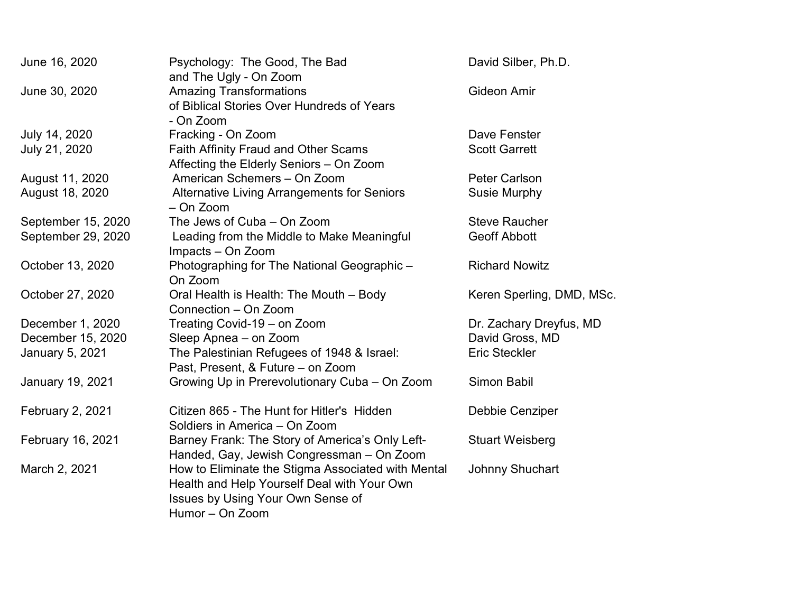| June 16, 2020          | Psychology: The Good, The Bad<br>and The Ugly - On Zoom                                                                                                          | David Silber, Ph.D.       |
|------------------------|------------------------------------------------------------------------------------------------------------------------------------------------------------------|---------------------------|
| June 30, 2020          | <b>Amazing Transformations</b><br>of Biblical Stories Over Hundreds of Years<br>- On Zoom                                                                        | <b>Gideon Amir</b>        |
| July 14, 2020          | Fracking - On Zoom                                                                                                                                               | Dave Fenster              |
| July 21, 2020          | <b>Faith Affinity Fraud and Other Scams</b><br>Affecting the Elderly Seniors - On Zoom                                                                           | <b>Scott Garrett</b>      |
| August 11, 2020        | American Schemers - On Zoom                                                                                                                                      | <b>Peter Carlson</b>      |
| August 18, 2020        | <b>Alternative Living Arrangements for Seniors</b><br>- On Zoom                                                                                                  | <b>Susie Murphy</b>       |
| September 15, 2020     | The Jews of Cuba - On Zoom                                                                                                                                       | <b>Steve Raucher</b>      |
| September 29, 2020     | Leading from the Middle to Make Meaningful<br>Impacts - On Zoom                                                                                                  | <b>Geoff Abbott</b>       |
| October 13, 2020       | Photographing for The National Geographic -<br>On Zoom                                                                                                           | <b>Richard Nowitz</b>     |
| October 27, 2020       | Oral Health is Health: The Mouth - Body<br>Connection - On Zoom                                                                                                  | Keren Sperling, DMD, MSc. |
| December 1, 2020       | Treating Covid-19 - on Zoom                                                                                                                                      | Dr. Zachary Dreyfus, MD   |
| December 15, 2020      | Sleep Apnea - on Zoom                                                                                                                                            | David Gross, MD           |
| <b>January 5, 2021</b> | The Palestinian Refugees of 1948 & Israel:<br>Past, Present, & Future - on Zoom                                                                                  | <b>Eric Steckler</b>      |
| January 19, 2021       | Growing Up in Prerevolutionary Cuba - On Zoom                                                                                                                    | <b>Simon Babil</b>        |
| February 2, 2021       | Citizen 865 - The Hunt for Hitler's Hidden<br>Soldiers in America - On Zoom                                                                                      | Debbie Cenziper           |
| February 16, 2021      | Barney Frank: The Story of America's Only Left-<br>Handed, Gay, Jewish Congressman - On Zoom                                                                     | <b>Stuart Weisberg</b>    |
| March 2, 2021          | How to Eliminate the Stigma Associated with Mental<br>Health and Help Yourself Deal with Your Own<br><b>Issues by Using Your Own Sense of</b><br>Humor - On Zoom | <b>Johnny Shuchart</b>    |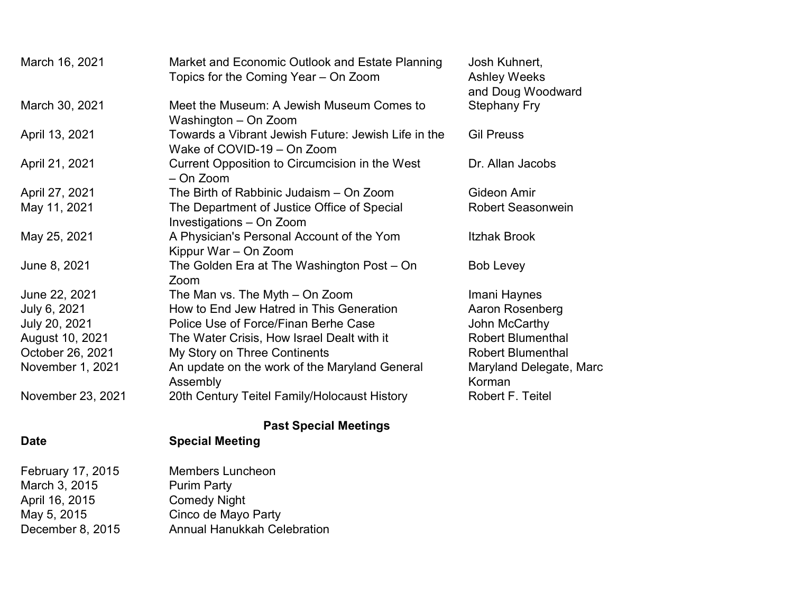| March 16, 2021    | Market and Economic Outlook and Estate Planning<br>Topics for the Coming Year – On Zoom | Josh Kuhnert,<br><b>Ashley Weeks</b><br>and Doug Woodward |
|-------------------|-----------------------------------------------------------------------------------------|-----------------------------------------------------------|
| March 30, 2021    | Meet the Museum: A Jewish Museum Comes to<br>Washington – On Zoom                       | <b>Stephany Fry</b>                                       |
| April 13, 2021    | Towards a Vibrant Jewish Future: Jewish Life in the<br>Wake of COVID-19 - On Zoom       | <b>Gil Preuss</b>                                         |
| April 21, 2021    | Current Opposition to Circumcision in the West<br>$-$ On Zoom                           | Dr. Allan Jacobs                                          |
| April 27, 2021    | The Birth of Rabbinic Judaism – On Zoom                                                 | Gideon Amir                                               |
| May 11, 2021      | The Department of Justice Office of Special<br>Investigations - On Zoom                 | <b>Robert Seasonwein</b>                                  |
| May 25, 2021      | A Physician's Personal Account of the Yom<br>Kippur War - On Zoom                       | <b>Itzhak Brook</b>                                       |
| June 8, 2021      | The Golden Era at The Washington Post – On<br>Zoom                                      | <b>Bob Levey</b>                                          |
| June 22, 2021     | The Man vs. The Myth – On Zoom                                                          | Imani Haynes                                              |
| July 6, 2021      | How to End Jew Hatred in This Generation                                                | Aaron Rosenberg                                           |
| July 20, 2021     | Police Use of Force/Finan Berhe Case                                                    | John McCarthy                                             |
| August 10, 2021   | The Water Crisis, How Israel Dealt with it                                              | <b>Robert Blumenthal</b>                                  |
| October 26, 2021  | My Story on Three Continents                                                            | <b>Robert Blumenthal</b>                                  |
| November 1, 2021  | An update on the work of the Maryland General<br>Assembly                               | Maryland Delegate, Marc<br>Korman                         |
| November 23, 2021 | 20th Century Teitel Family/Holocaust History                                            | Robert F. Teitel                                          |

# Past Special Meetings

## Date Special Meeting

| February 17, 2015 | <b>Members Luncheon</b>            |
|-------------------|------------------------------------|
| March 3, 2015     | <b>Purim Party</b>                 |
| April 16, 2015    | <b>Comedy Night</b>                |
| May 5, 2015       | Cinco de Mayo Party                |
| December 8, 2015  | <b>Annual Hanukkah Celebration</b> |
|                   |                                    |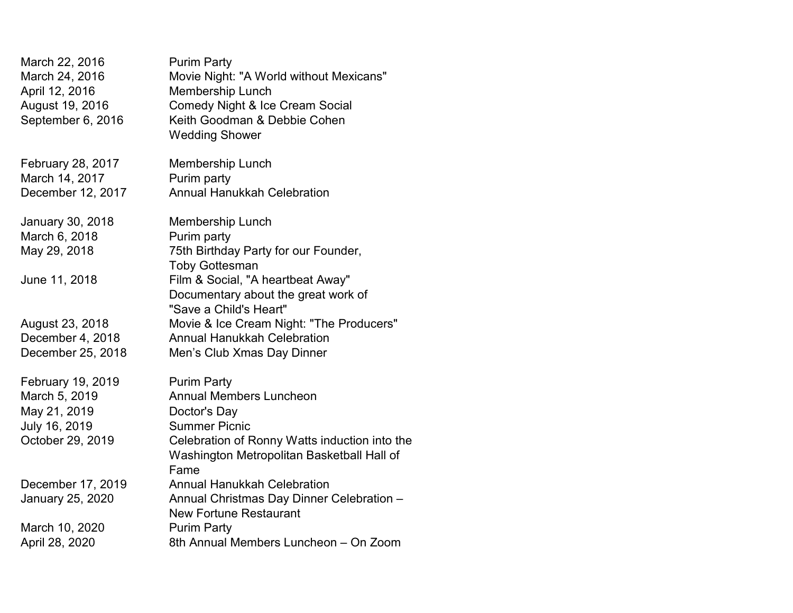| March 22, 2016<br>March 24, 2016<br>April 12, 2016<br>August 19, 2016<br>September 6, 2016 | <b>Purim Party</b><br>Movie Night: "A World without Mexicans"<br>Membership Lunch<br><b>Comedy Night &amp; Ice Cream Social</b><br>Keith Goodman & Debbie Cohen<br><b>Wedding Shower</b> |
|--------------------------------------------------------------------------------------------|------------------------------------------------------------------------------------------------------------------------------------------------------------------------------------------|
| February 28, 2017                                                                          | Membership Lunch                                                                                                                                                                         |
| March 14, 2017                                                                             | Purim party                                                                                                                                                                              |
| December 12, 2017                                                                          | <b>Annual Hanukkah Celebration</b>                                                                                                                                                       |
| January 30, 2018                                                                           | <b>Membership Lunch</b>                                                                                                                                                                  |
| March 6, 2018                                                                              | Purim party                                                                                                                                                                              |
| May 29, 2018                                                                               | 75th Birthday Party for our Founder,<br><b>Toby Gottesman</b>                                                                                                                            |
| June 11, 2018                                                                              | Film & Social, "A heartbeat Away"<br>Documentary about the great work of<br>"Save a Child's Heart"                                                                                       |
| August 23, 2018                                                                            | Movie & Ice Cream Night: "The Producers"                                                                                                                                                 |
| December 4, 2018                                                                           | <b>Annual Hanukkah Celebration</b>                                                                                                                                                       |
| December 25, 2018                                                                          | Men's Club Xmas Day Dinner                                                                                                                                                               |
| February 19, 2019                                                                          | <b>Purim Party</b>                                                                                                                                                                       |
| March 5, 2019                                                                              | <b>Annual Members Luncheon</b>                                                                                                                                                           |
| May 21, 2019                                                                               | Doctor's Day                                                                                                                                                                             |
| July 16, 2019                                                                              | <b>Summer Picnic</b>                                                                                                                                                                     |
| October 29, 2019                                                                           | Celebration of Ronny Watts induction into the<br>Washington Metropolitan Basketball Hall of<br>Fame                                                                                      |
| December 17, 2019                                                                          | <b>Annual Hanukkah Celebration</b>                                                                                                                                                       |
| January 25, 2020                                                                           | Annual Christmas Day Dinner Celebration -<br><b>New Fortune Restaurant</b>                                                                                                               |
| March 10, 2020                                                                             | <b>Purim Party</b>                                                                                                                                                                       |
| April 28, 2020                                                                             | 8th Annual Members Luncheon - On Zoom                                                                                                                                                    |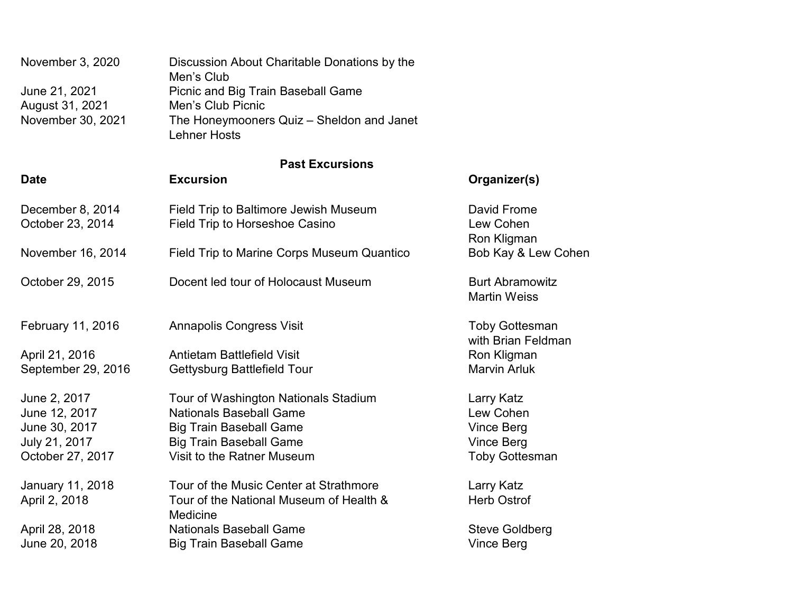| November 3, 2020                 | Discussion About Charitable Donations by the<br>Men's Club       |
|----------------------------------|------------------------------------------------------------------|
| June 21, 2021<br>August 31, 2021 | Picnic and Big Train Baseball Game<br>Men's Club Picnic          |
| November 30, 2021                | The Honeymooners Quiz – Sheldon and Janet<br><b>Lehner Hosts</b> |

### Past Excursions

| <b>Date</b>                          | <b>Excursion</b>                                                        | Organizer(s)                                  |
|--------------------------------------|-------------------------------------------------------------------------|-----------------------------------------------|
| December 8, 2014<br>October 23, 2014 | Field Trip to Baltimore Jewish Museum<br>Field Trip to Horseshoe Casino | David Frome<br>Lew Cohen<br>Ron Kligman       |
| November 16, 2014                    | Field Trip to Marine Corps Museum Quantico                              | Bob Kay & Lew Cohen                           |
| October 29, 2015                     | Docent led tour of Holocaust Museum                                     | <b>Burt Abramowitz</b><br><b>Martin Weiss</b> |
| February 11, 2016                    | <b>Annapolis Congress Visit</b>                                         | <b>Toby Gottesman</b><br>with Brian Feldman   |
| April 21, 2016                       | <b>Antietam Battlefield Visit</b>                                       | Ron Kligman                                   |
| September 29, 2016                   | Gettysburg Battlefield Tour                                             | <b>Marvin Arluk</b>                           |
| June 2, 2017                         | Tour of Washington Nationals Stadium                                    | Larry Katz                                    |
| June 12, 2017                        | <b>Nationals Baseball Game</b>                                          | Lew Cohen                                     |
| June 30, 2017                        | <b>Big Train Baseball Game</b>                                          | <b>Vince Berg</b>                             |
| July 21, 2017                        | <b>Big Train Baseball Game</b>                                          | <b>Vince Berg</b>                             |
| October 27, 2017                     | Visit to the Ratner Museum                                              | <b>Toby Gottesman</b>                         |
| <b>January 11, 2018</b>              | Tour of the Music Center at Strathmore                                  | Larry Katz                                    |
| April 2, 2018                        | Tour of the National Museum of Health &<br><b>Medicine</b>              | <b>Herb Ostrof</b>                            |
| April 28, 2018                       | <b>Nationals Baseball Game</b>                                          | <b>Steve Goldberg</b>                         |
| June 20, 2018                        | <b>Big Train Baseball Game</b>                                          | Vince Berg                                    |